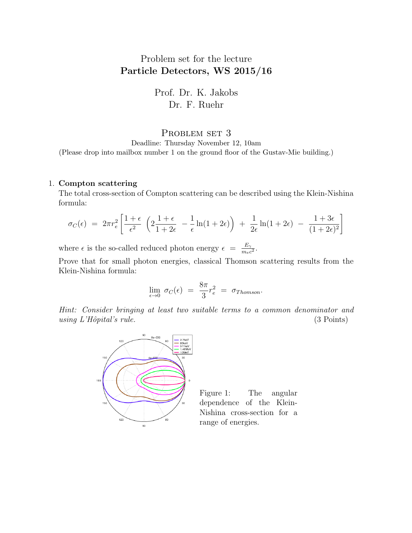## Problem set for the lecture Particle Detectors, WS 2015/16

Prof. Dr. K. Jakobs Dr. F. Ruehr

## PROBLEM SET 3

Deadline: Thursday November 12, 10am (Please drop into mailbox number 1 on the ground floor of the Gustav-Mie building.)

## 1. Compton scattering

The total cross-section of Compton scattering can be described using the Klein-Nishina formula:

$$
\sigma_C(\epsilon) = 2\pi r_e^2 \left[ \frac{1+\epsilon}{\epsilon^2} \left( 2\frac{1+\epsilon}{1+2\epsilon} - \frac{1}{\epsilon} \ln(1+2\epsilon) \right) + \frac{1}{2\epsilon} \ln(1+2\epsilon) - \frac{1+3\epsilon}{(1+2\epsilon)^2} \right]
$$

where  $\epsilon$  is the so-called reduced photon energy  $\epsilon = \frac{E_{\gamma}}{m_{\gamma}}$  $\frac{E_\gamma}{m_ec^2}.$ 

Prove that for small photon energies, classical Thomson scattering results from the Klein-Nishina formula:

$$
\lim_{\epsilon \to 0} \sigma_C(\epsilon) = \frac{8\pi}{3} r_e^2 = \sigma_{Thomson}.
$$

Hint: Consider bringing at least two suitable terms to a common denominator and using  $L'H\hat{o}pital's rule.$  (3 Points)



Figure 1: The angular dependence of the Klein-Nishina cross-section for a range of energies.